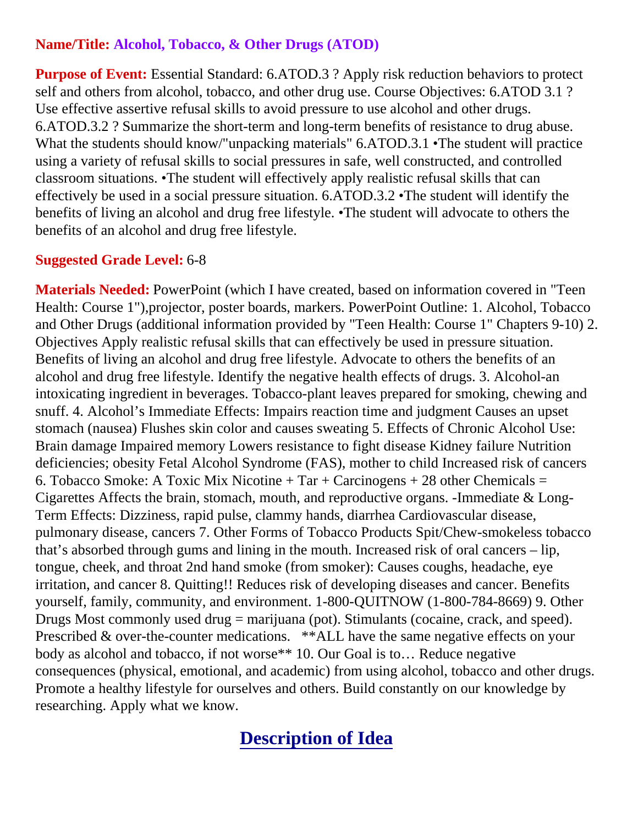## **Name/Title: Alcohol, Tobacco, & Other Drugs (ATOD)**

**Purpose of Event:** Essential Standard: 6.ATOD.3 ? Apply risk reduction behaviors to protect self and others from alcohol, tobacco, and other drug use. Course Objectives: 6.ATOD 3.1 ? Use effective assertive refusal skills to avoid pressure to use alcohol and other drugs. 6.ATOD.3.2 ? Summarize the short-term and long-term benefits of resistance to drug abuse. What the students should know/"unpacking materials" 6.ATOD.3.1 •The student will practice using a variety of refusal skills to social pressures in safe, well constructed, and controlled classroom situations. •The student will effectively apply realistic refusal skills that can effectively be used in a social pressure situation. 6.ATOD.3.2 •The student will identify the benefits of living an alcohol and drug free lifestyle. •The student will advocate to others the benefits of an alcohol and drug free lifestyle.

## **Suggested Grade Level:** 6-8

**Materials Needed:** PowerPoint (which I have created, based on information covered in "Teen Health: Course 1"),projector, poster boards, markers. PowerPoint Outline: 1. Alcohol, Tobacco and Other Drugs (additional information provided by "Teen Health: Course 1" Chapters 9-10) 2. Objectives Apply realistic refusal skills that can effectively be used in pressure situation. Benefits of living an alcohol and drug free lifestyle. Advocate to others the benefits of an alcohol and drug free lifestyle. Identify the negative health effects of drugs. 3. Alcohol-an intoxicating ingredient in beverages. Tobacco-plant leaves prepared for smoking, chewing and snuff. 4. Alcohol's Immediate Effects: Impairs reaction time and judgment Causes an upset stomach (nausea) Flushes skin color and causes sweating 5. Effects of Chronic Alcohol Use: Brain damage Impaired memory Lowers resistance to fight disease Kidney failure Nutrition deficiencies; obesity Fetal Alcohol Syndrome (FAS), mother to child Increased risk of cancers 6. Tobacco Smoke: A Toxic Mix Nicotine  $+$  Tar  $+$  Carcinogens  $+$  28 other Chemicals  $=$ Cigarettes Affects the brain, stomach, mouth, and reproductive organs. -Immediate & Long-Term Effects: Dizziness, rapid pulse, clammy hands, diarrhea Cardiovascular disease, pulmonary disease, cancers 7. Other Forms of Tobacco Products Spit/Chew-smokeless tobacco that's absorbed through gums and lining in the mouth. Increased risk of oral cancers – lip, tongue, cheek, and throat 2nd hand smoke (from smoker): Causes coughs, headache, eye irritation, and cancer 8. Quitting!! Reduces risk of developing diseases and cancer. Benefits yourself, family, community, and environment. 1-800-QUITNOW (1-800-784-8669) 9. Other Drugs Most commonly used drug = marijuana (pot). Stimulants (cocaine, crack, and speed). Prescribed & over-the-counter medications. \*\*ALL have the same negative effects on your body as alcohol and tobacco, if not worse\*\* 10. Our Goal is to… Reduce negative consequences (physical, emotional, and academic) from using alcohol, tobacco and other drugs. Promote a healthy lifestyle for ourselves and others. Build constantly on our knowledge by researching. Apply what we know.

## **Description of Idea**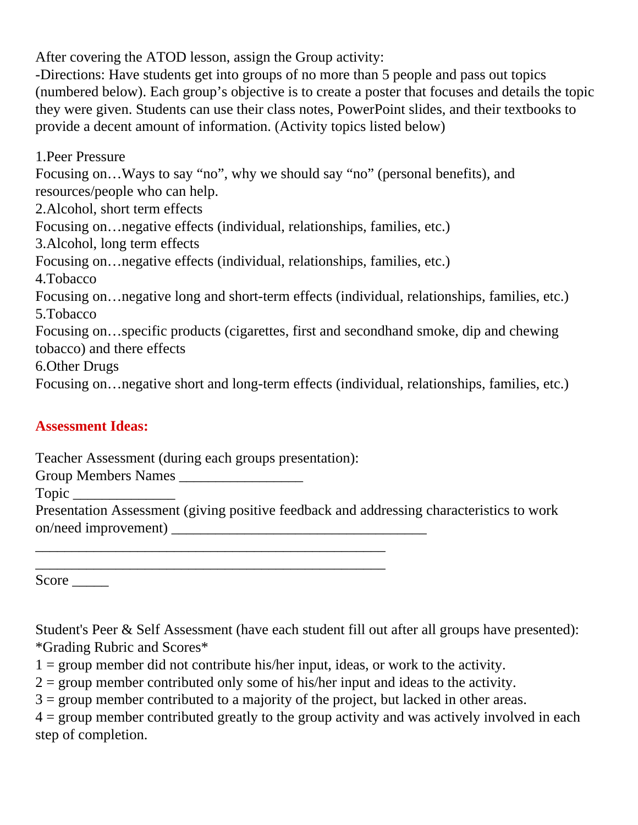After covering the ATOD lesson, assign the Group activity:

-Directions: Have students get into groups of no more than 5 people and pass out topics (numbered below). Each group's objective is to create a poster that focuses and details the topic they were given. Students can use their class notes, PowerPoint slides, and their textbooks to provide a decent amount of information. (Activity topics listed below)

1.Peer Pressure Focusing on…Ways to say "no", why we should say "no" (personal benefits), and resources/people who can help. 2.Alcohol, short term effects Focusing on…negative effects (individual, relationships, families, etc.) 3.Alcohol, long term effects Focusing on…negative effects (individual, relationships, families, etc.) 4.Tobacco Focusing on…negative long and short-term effects (individual, relationships, families, etc.) 5.Tobacco Focusing on…specific products (cigarettes, first and secondhand smoke, dip and chewing tobacco) and there effects 6.Other Drugs Focusing on…negative short and long-term effects (individual, relationships, families, etc.)

## **Assessment Ideas:**

Teacher Assessment (during each groups presentation):

\_\_\_\_\_\_\_\_\_\_\_\_\_\_\_\_\_\_\_\_\_\_\_\_\_\_\_\_\_\_\_\_\_\_\_\_\_\_\_\_\_\_\_\_\_\_\_\_

\_\_\_\_\_\_\_\_\_\_\_\_\_\_\_\_\_\_\_\_\_\_\_\_\_\_\_\_\_\_\_\_\_\_\_\_\_\_\_\_\_\_\_\_\_\_\_\_

Group Members Names

Topic \_\_\_\_\_\_\_\_\_\_\_\_\_\_

Presentation Assessment (giving positive feedback and addressing characteristics to work on/need improvement) \_\_\_\_\_\_\_\_\_\_\_\_\_\_\_\_\_\_\_\_\_\_\_\_\_\_\_\_\_\_\_\_\_\_\_

Score \_\_\_\_\_\_\_

Student's Peer & Self Assessment (have each student fill out after all groups have presented): \*Grading Rubric and Scores\*

 $1 =$  group member did not contribute his/her input, ideas, or work to the activity.

 $2 =$  group member contributed only some of his/her input and ideas to the activity.

 $3 =$  group member contributed to a majority of the project, but lacked in other areas.

 $4 =$  group member contributed greatly to the group activity and was actively involved in each step of completion.